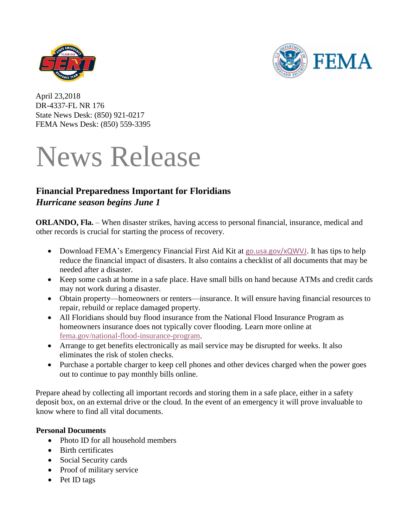



April 23,2018 DR-4337-FL NR 176 State News Desk: (850) 921-0217 FEMA News Desk: (850) 559-3395

# News Release

# **Financial Preparedness Important for Floridians** *Hurricane season begins June 1*

**ORLANDO, Fla.** – When disaster strikes, having access to personal financial, insurance, medical and other records is crucial for starting the process of recovery.

- Download FEMA's Emergency Financial First Aid Kit at [go.usa.gov/xQWVJ](https://go.usa.gov/xQWVJ). It has tips to help reduce the financial impact of disasters. It also contains a checklist of all documents that may be needed after a disaster.
- Keep some cash at home in a safe place. Have small bills on hand because ATMs and credit cards may not work during a disaster.
- Obtain property—homeowners or renters—insurance. It will ensure having financial resources to repair, rebuild or replace damaged property.
- All Floridians should buy flood insurance from the National Flood Insurance Program as homeowners insurance does not typically cover flooding. Learn more online at [fema.gov/national-flood-insurance-program.](https://fema.gov/national-flood-insurance-program)
- Arrange to get benefits electronically as mail service may be disrupted for weeks. It also eliminates the risk of stolen checks.
- Purchase a portable charger to keep cell phones and other devices charged when the power goes out to continue to pay monthly bills online.

Prepare ahead by collecting all important records and storing them in a safe place, either in a safety deposit box, on an external drive or the cloud. In the event of an emergency it will prove invaluable to know where to find all vital documents.

## **Personal Documents**

- Photo ID for all household members
- Birth certificates
- Social Security cards
- Proof of military service
- Pet ID tags